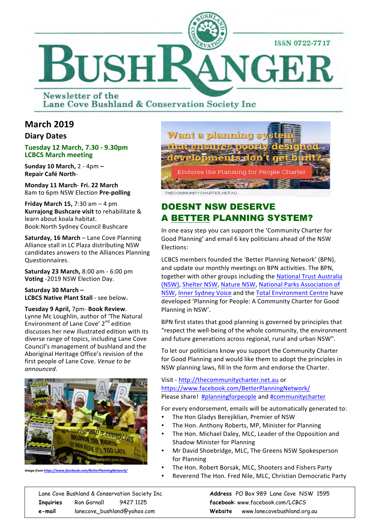

Newsletter of the Lane Cove Bushland & Conservation Society Inc

### **March 2019**

#### **Diary Dates**

#### **Tuesday 12 March, 7.30 - 9.30pm LCBCS March meeting**

**Sunday 10 March, 2 - 4pm -Repair Café North**- 

**Monday 11 March**- **Fri. 22 March**  8am to 6pm NSW Election Pre-polling

**Friday March 15, 7:30**  $am - 4$  **pm Kurrajong Bushcare visit to rehabilitate &** learn about koala habitat. Book:North Sydney Council Bushcare 

**Saturday, 16 March** – Lane Cove Planning Alliance stall in LC Plaza distributing NSW candidates answers to the Alliances Planning Questionnaires. 

**Saturday 23 March, 8:00 am - 6:00 pm Voting** -2019 NSW Election Day.

Saturday 30 March -**LCBCS Native Plant Stall** - see below.

**Tuesday 9 April,** 7pm- **Book Review**. Lynne Mc Loughlin, author of 'The Natural Environment of Lane Cove'  $2<sup>nd</sup>$  edition discusses her new illustrated edition with its diverse range of topics, including Lane Cove Council's management of bushland and the Aboriginal Heritage Office's revision of the first people of Lane Cove. *Venue to be announced*. 



*Image from https://www.face* 



## DOESNT NSW DESERVE A BETTER PLANNING SYSTEM?

In one easy step you can support the 'Community Charter for Good Planning' and email 6 key politicians ahead of the NSW Elections:

LCBCS members founded the 'Better Planning Network' (BPN), and update our monthly meetings on BPN activities. The BPN, together with other groups including the National Trust Australia (NSW), Shelter NSW, Nature NSW, National Parks Association of NSW, Inner Sydney Voice and the Total Environment Centre have developed 'Planning for People: A Community Charter for Good Planning in NSW'.

BPN first states that good planning is governed by principles that "respect the well-being of the whole community, the environment and future generations across regional, rural and urban NSW".

To let our politicians know you support the Community Charter for Good Planning and would like them to adopt the principles in NSW planning laws, fill in the form and endorse the Charter.

Visit - http://thecommunitycharter.net.au or https://www.facebook.com/BetterPlanningNetwork/ Please share! #planningforpeople and #communitycharter

For every endorsement, emails will be automatically generated to:

- The Hon Gladys Berejiklian, Premier of NSW
- The Hon. Anthony Roberts, MP, Minister for Planning
- The Hon. Michael Daley, MLC, Leader of the Opposition and Shadow Minister for Planning
- Mr David Shoebridge, MLC, The Greens NSW Spokesperson for Planning
- The Hon. Robert Borsak, MLC, Shooters and Fishers Party
- Reverend The Hon. Fred Nile, MLC, Christian Democratic Party

Lane Cove Bushland & Conservation Society Inc **Address** PO Box 989 Lane Cove NSW 1595 **Inquiries** Ron Gornall 9427 1125 **facebook**: www.facebook.com/LCBCS **e-mail** lanecove\_bushland@yahoo.com **Website** www.lanecovebushland.org.au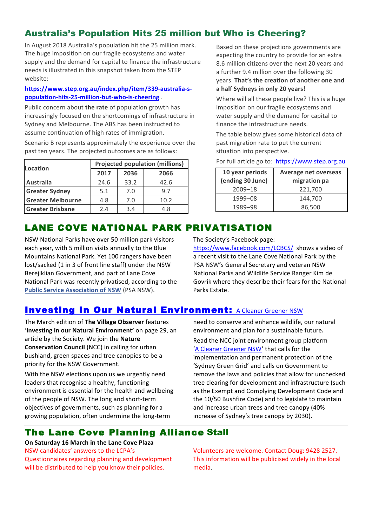# Australia's Population Hits 25 million but Who is Cheering?

In August 2018 Australia's population hit the 25 million mark. The huge imposition on our fragile ecosystems and water supply and the demand for capital to finance the infrastructure needs is illustrated in this snapshot taken from the STEP website: 

#### **https://www.step.org.au/index.php/item/339-australia-spopulation-hits-25-million-but-who-is-cheering** .

Public concern about **the rate** of population growth has increasingly focused on the shortcomings of infrastructure in Sydney and Melbourne. The ABS has been instructed to assume continuation of high rates of immigration.

Scenario B represents approximately the experience over the past ten years. The projected outcomes are as follows:

| Location                 | <b>Projected population (millions)</b> |      |      |
|--------------------------|----------------------------------------|------|------|
|                          | 2017                                   | 2036 | 2066 |
| <b>Australia</b>         | 24.6                                   | 33.2 | 42.6 |
| <b>Greater Sydney</b>    | 5.1                                    | 7.0  | 9.7  |
| <b>Greater Melbourne</b> | 4.8                                    | 7.0  | 10.2 |
| <b>Greater Brisbane</b>  | 2.4                                    | 3.4  | 4.8  |

Based on these projections governments are expecting the country to provide for an extra 8.6 million citizens over the next 20 years and a further 9.4 million over the following 30 vears. That's the creation of another one and **a half Sydneys in only 20 years!** 

Where will all these people live? This is a huge imposition on our fragile ecosystems and water supply and the demand for capital to finance the infrastructure needs.

The table below gives some historical data of past migration rate to put the current situation into perspective.

| 10 year periods<br>(ending 30 June) | <b>Average net overseas</b><br>migration pa |
|-------------------------------------|---------------------------------------------|
| $2009 - 18$                         | 221,700                                     |
| 1999-08                             | 144,700                                     |
| 1989-98                             | 86,500                                      |

For full article go to: https://www.step.org.au

# LANE COVE NATIONAL PARK PRIVATISATION

NSW National Parks have over 50 million park visitors each year, with 5 million visits annually to the Blue Mountains National Park. Yet 100 rangers have been lost/sacked (1 in 3 of front line staff) under the NSW Berejiklian Government, and part of Lane Cove National Park was recently privatised, according to the **Public Service Association of NSW (PSA NSW).** 

#### The Society's Facebook page:

https://www.facebook.com/LCBCS/ shows a video of a recent visit to the Lane Cove National Park by the PSA NSW's General Secretary and veteran NSW National Parks and Wildlife Service Ranger Kim de Govrik where they describe their fears for the National Parks Estate.

### **Investing In Our Natural Environment: A Cleaner Greener NSW**

The March edition of The Village Observer features 'Investing in our Natural Environment' on page 29, an article by the Society. We join the Nature **Conservation Council** (NCC) in calling for urban bushland, green spaces and tree canopies to be a priority for the NSW Government.

With the NSW elections upon us we urgently need leaders that recognise a healthy, functioning environment is essential for the health and wellbeing of the people of NSW. The long and short-term objectives of governments, such as planning for a growing population, often undermine the long-term

need to conserve and enhance wildlife, our natural environment and plan for a sustainable future.

Read the NCC joint environment group platform 'A Cleaner Greener NSW' that calls for the implementation and permanent protection of the 'Sydney Green Grid' and calls on Government to remove the laws and policies that allow for unchecked tree clearing for development and infrastructure (such as the Exempt and Complying Development Code and the 10/50 Bushfire Code) and to legislate to maintain and increase urban trees and tree canopy (40% increase of Sydney's tree canopy by 2030).

### The Lane Cove Planning Alliance Stall

**On Saturday 16 March in the Lane Cove Plaza** NSW candidates' answers to the LCPA's Questionnaires regarding planning and development will be distributed to help you know their policies.

Volunteers are welcome. Contact Doug: 9428 2527. This information will be publicised widely in the local media.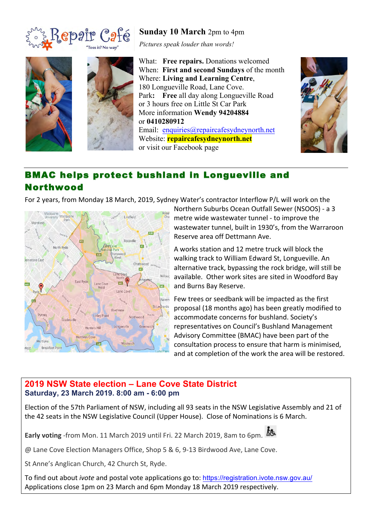





**Sunday 10 March** 2pm to 4pm

*Pictures speak louder than words!*

What: **Free repairs.** Donations welcomed When: **First and second Sundays** of the month Where: **Living and Learning Centre**, 180 Longueville Road, Lane Cove. Park**: Free** all day along Longueville Road or 3 hours free on Little St Car Park More information **Wendy 94204884** or **0410280912** Email: enquiries@repaircafesydneynorth.net Website: **repaircafesydneynorth.net** or visit our Facebook page



# BMAC helps protect bushland in Longueville and Northwood

For 2 years, from Monday 18 March, 2019, Sydney Water's contractor Interflow P/L will work on the



Northern Suburbs Ocean Outfall Sewer (NSOOS) - a 3 metre wide wastewater tunnel - to improve the wastewater tunnel, built in 1930's, from the Warraroon Reserve area off Dettmann Ave.

A works station and 12 metre truck will block the walking track to William Edward St, Longueville. An alternative track, bypassing the rock bridge, will still be available. Other work sites are sited in Woodford Bay and Burns Bay Reserve.

Few trees or seedbank will be impacted as the first proposal (18 months ago) has been greatly modified to accommodate concerns for bushland. Society's representatives on Council's Bushland Management Advisory Committee (BMAC) have been part of the consultation process to ensure that harm is minimised, and at completion of the work the area will be restored.

### **2019 NSW State election – Lane Cove State District Saturday, 23 March 2019. 8:00 am - 6:00 pm**

Election of the 57th Parliament of NSW, including all 93 seats in the NSW Legislative Assembly and 21 of the 42 seats in the NSW Legislative Council (Upper House). Close of Nominations is 6 March.

Early voting -from Mon. 11 March 2019 until Fri. 22 March 2019, 8am to 6pm. **At** 



@ Lane Cove Election Managers Office, Shop 5 & 6, 9-13 Birdwood Ave, Lane Cove.

St Anne's Anglican Church, 42 Church St, Ryde.

To find out about *ivote* and postal vote applications go to: https://registration.ivote.nsw.gov.au/ Applications close 1pm on 23 March and 6pm Monday 18 March 2019 respectively.